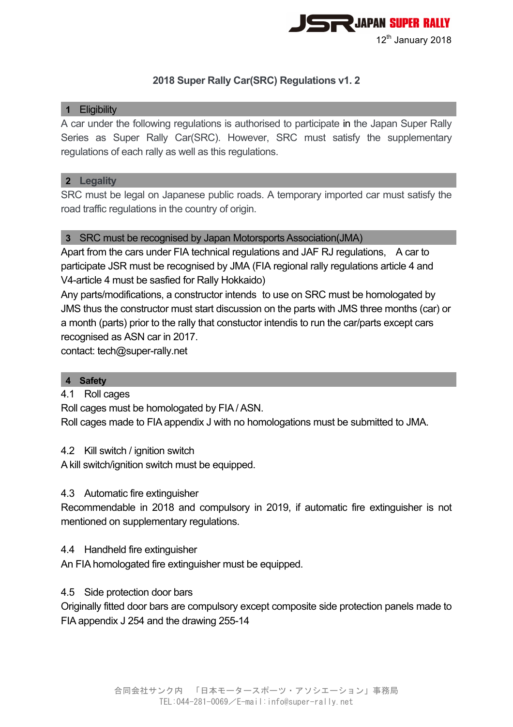

# **2018 Super Rally Car(SRC) Regulations v1. 2**

# **1** Eligibility

A car under the following regulations is authorised to participate in the Japan Super Rally Series as Super Rally Car(SRC). However, SRC must satisfy the supplementary regulations of each rally as well as this regulations.

### **2 Legality**

SRC must be legal on Japanese public roads. A temporary imported car must satisfy the road traffic regulations in the country of origin.

# **3** SRC must be recognised by Japan Motorsports Association(JMA)

Apart from the cars under FIA technical regulations and JAF RJ regulations, A car to participate JSR must be recognised by JMA (FIA regional rally regulations article 4 and V4-article 4 must be sasfied for Rally Hokkaido)

Any parts/modifications, a constructor intends to use on SRC must be homologated by JMS thus the constructor must start discussion on the parts with JMS three months (car) or a month (parts) prior to the rally that constuctor intendis to run the car/parts except cars recognised as ASN car in 2017.

contact: tech@super-rally.net

# **4 Safety**

# 4.1 Roll cages

Roll cages must be homologated by FIA / ASN.

Roll cages made to FIA appendix J with no homologations must be submitted to JMA.

#### 4.2 Kill switch / ignition switch

A kill switch/ignition switch must be equipped.

#### 4.3 Automatic fire extinguisher

Recommendable in 2018 and compulsory in 2019, if automatic fire extinguisher is not mentioned on supplementary regulations.

#### 4.4 Handheld fire extinguisher

An FIA homologated fire extinguisher must be equipped.

# 4.5 Side protection door bars

Originally fitted door bars are compulsory except composite side protection panels made to FIA appendix J 254 and the drawing 255-14